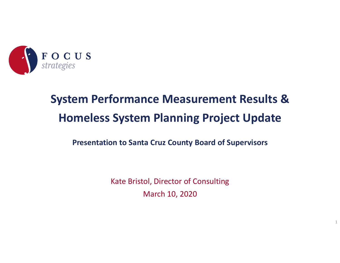

# **System Performance Measurement Results & Homeless System Planning Project Update**

#### **Presentation to Santa Cruz County Board of Supervisors**

Kate Bristol, Director of Consulting March 10, 2020

1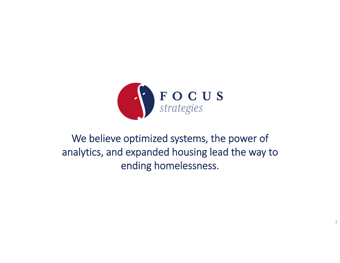

### We believe optimized systems, the power of analytics, and expanded housing lead the way to ending homelessness.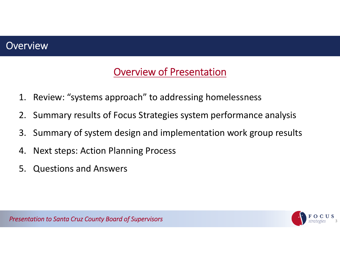#### **Overview**

### Overview of Presentation

- 1. Review: "systems approach" to addressing homelessness
- 2. Summary results of Focus Strategies system performance analysis
- 3. Summary of system design and implementation work group results
- 4. Next steps: Action Planning Process
- 5. Questions and Answers

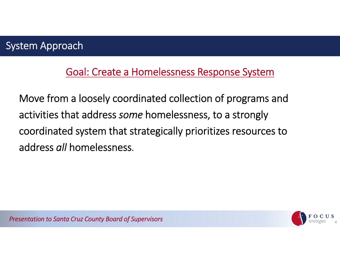### Goal: Create <sup>a</sup> Homelessness Response System

Move from <sup>a</sup> loosely coordinated collection of programs and activities that address *some* homelessness, to <sup>a</sup> strongly coordinated system that strategically prioritizes resources to address *all* homelessness.

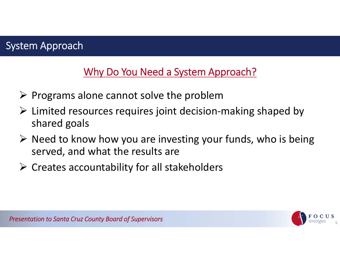### System Approach

### Why Do You Need a System Approach?

- $\triangleright$  Programs alone cannot solve the problem
- Limited resources requires joint decision‐making shaped by shared goals
- $\triangleright$  Need to know how you are investing your funds, who is being served, and what the results are
- $\triangleright$  Creates accountability for all stakeholders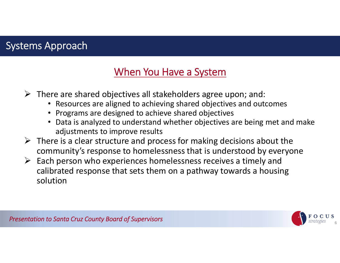### Systems Approach

### When You Have <sup>a</sup> System

- $\triangleright$  There are shared objectives all stakeholders agree upon; and:
	- Resources are aligned to achieving shared objectives and outcomes
	- Programs are designed to achieve shared objectives
	- Data is analyzed to understand whether objectives are being met and make adjustments to improve results
- $\triangleright$  There is a clear structure and process for making decisions about the community's response to homelessness that is understood by everyone
- $\triangleright$  Each person who experiences homelessness receives a timely and calibrated response that sets them on <sup>a</sup> pathway towards <sup>a</sup> housing solution

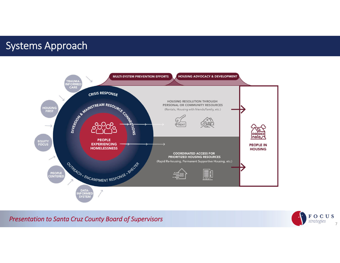#### Systems Approach



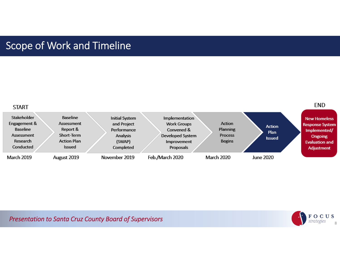#### Scope of Work and Timeline



**Presentation to Santa Cruz County Board of Supervisors** 8 (1) 8 (1) 8 (1) 8 (1) 8 (1) 8 (1) 8 (1) 8 (1) 8 (1) 8 (1) 8 (1) 8 (1) 8 (1) 8 (1) 8 (1) 8 (1) 8 (1) 8 (1) 8 (1) 8 (1) 8 (1) 8 (1) 8 (1) 8 (1) 8 (1) 8 (1) 8 (1) 8 (

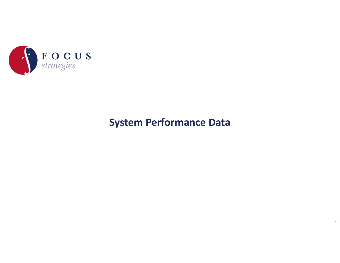

### **System Performance Data**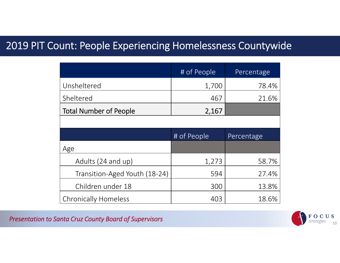#### 2019 PIT Count: People Experiencing Homelessness Countywide

|                               | # of People | Percentage |  |
|-------------------------------|-------------|------------|--|
| Unsheltered                   | 1,700       | 78.4%      |  |
| Sheltered                     | 467         | 21.6%      |  |
| <b>Total Number of People</b> | 2,167       |            |  |
|                               |             |            |  |
|                               | # of People | Percentage |  |
| Age                           |             |            |  |
| Adults (24 and up)            | 1,273       | 58.7%      |  |
| Transition-Aged Youth (18-24) | 594         | 27.4%      |  |
| Children under 18             | 300         | 13.8%      |  |
| <b>Chronically Homeless</b>   | 403         | 18.6%      |  |

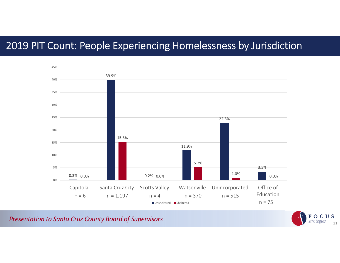### 2019 PIT Count: People Experiencing Homelessness by Jurisdiction



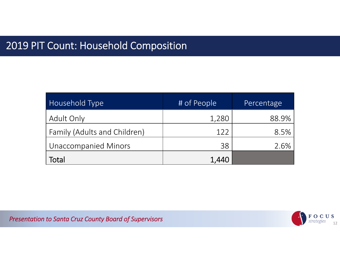### 2019 PIT Count: Household Composition

| Household Type               | # of People | Percentage |
|------------------------------|-------------|------------|
| <b>Adult Only</b>            | 1,280       | 88.9%      |
| Family (Adults and Children) | 122         | 8.5%       |
| <b>Unaccompanied Minors</b>  | 38          | 2.6%       |
| Total                        | 1,440       |            |

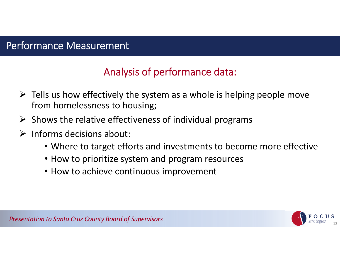## Analysis of performance data:

- $\triangleright$  Tells us how effectively the system as a whole is helping people move from homelessness to housing;
- $\triangleright$  Shows the relative effectiveness of individual programs
- $\blacktriangleright$  Informs decisions about:
	- Where to target efforts and investments to become more effective
	- How to prioritize system and program resources
	- How to achieve continuous improvement

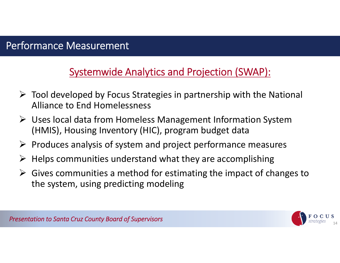### Systemwide Analytics and Projection (SWAP):

- $\triangleright$  Tool developed by Focus Strategies in partnership with the National Alliance to End Homelessness
- Uses local data from Homeless Management Information System (HMIS), Housing Inventory (HIC), program budget data
- $\triangleright$  Produces analysis of system and project performance measures
- $\triangleright$  Helps communities understand what they are accomplishing
- $\triangleright$  Gives communities a method for estimating the impact of changes to the system, using predicting modeling

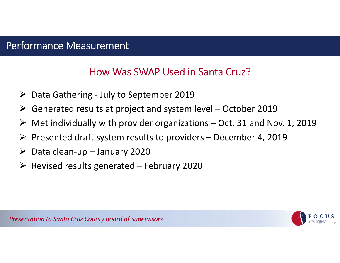### How Was SWAP Used in Santa Cruz?

- Data Gathering ‐ July to September 2019
- Generated results at project and system level October 2019
- $\blacktriangleright$ Met individually with provider organizations – Oct. 31 and Nov. 1, 2019
- $\blacktriangleright$ Presented draft system results to providers – December 4, 2019
- Data clean‐up January 2020
- $\triangleright$  Revised results generated February 2020

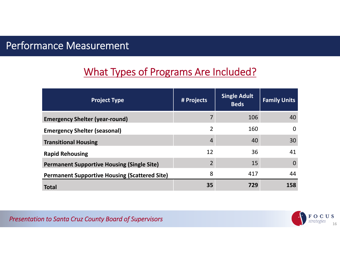### What Types of Programs Are Included?

| <b>Project Type</b>                                  | # Projects     | <b>Single Adult</b><br><b>Beds</b> | <b>Family Units</b> |
|------------------------------------------------------|----------------|------------------------------------|---------------------|
| <b>Emergency Shelter (year-round)</b>                |                | 106                                | 40                  |
| <b>Emergency Shelter (seasonal)</b>                  | $\overline{2}$ | 160                                | $\Omega$            |
| <b>Transitional Housing</b>                          | 4              | 40                                 | 30                  |
| <b>Rapid Rehousing</b>                               | 12             | 36                                 | 41                  |
| <b>Permanent Supportive Housing (Single Site)</b>    | $\mathfrak{D}$ | 15                                 | $\Omega$            |
| <b>Permanent Supportive Housing (Scattered Site)</b> | 8              | 417                                | 44                  |
| <b>Total</b>                                         | 35             | 729                                | 158                 |

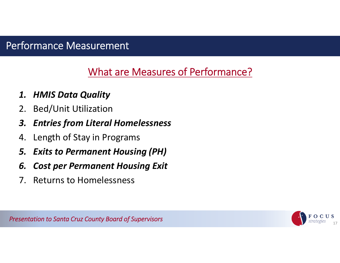### What are Measures of Performance?

#### *1. HMIS Data Quality*

- 2. Bed/Unit Utilization
- *3. Entries from Literal Homelessness*
- 4. Length of Stay in Programs
- *5. Exits to Permanent Housing (PH)*
- *6. Cost per Permanent Housing Exit*
- 7. Returns to Homelessness

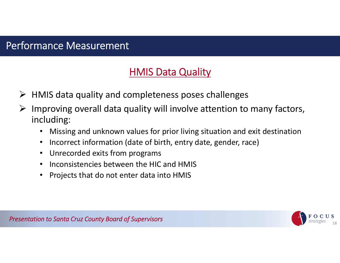### HMIS Data Quality

- $\triangleright$  HMIS data quality and completeness poses challenges
- ➤ Improving overall data quality will involve attention to many factors, including:
	- •Missing and unknown values for prior living situation and exit destination
	- •• Incorrect information (date of birth, entry date, gender, race)
	- Unrecorded exits from programs
	- Inconsistencies between the HIC and HMIS
	- $\bullet$ Projects that do not enter data into HMIS

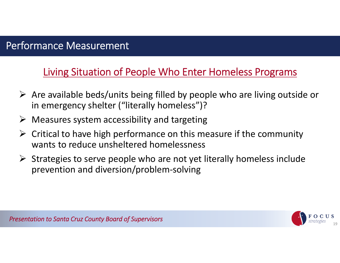Living Situation of People Who Enter Homeless Programs

- $\triangleright$  Are available beds/units being filled by people who are living outside or in emergency shelter ("literally homeless")?
- $\triangleright$  Measures system accessibility and targeting
- $\triangleright$  Critical to have high performance on this measure if the community wants to reduce unsheltered homelessness
- $\triangleright$  Strategies to serve people who are not yet literally homeless include prevention and diversion/problem‐solving

19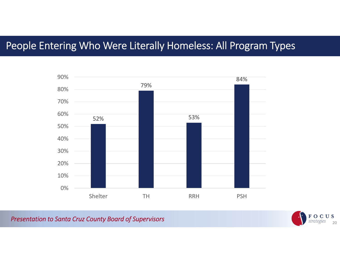### People Entering Who Were Literally Homeless: All Program Types



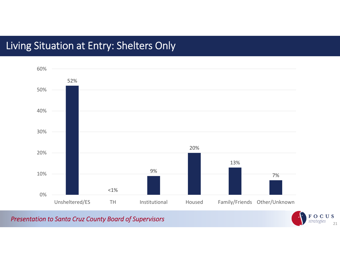### Living Situation at Entry: Shelters Only



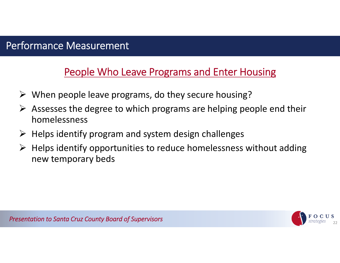### People Who Leave Programs and Enter Housing

- When people leave programs, do they secure housing?
- $\triangleright$  Assesses the degree to which programs are helping people end their homelessness
- $\triangleright$  Helps identify program and system design challenges
- $\triangleright$  Helps identify opportunities to reduce homelessness without adding new temporary beds

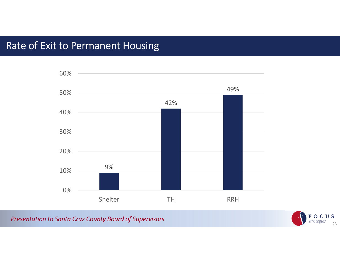### Rate of Exit to Permanent Housing



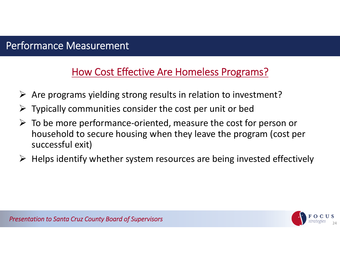### How Cost Effective Are Homeless Programs?

- $\triangleright$  Are programs yielding strong results in relation to investment?
- $\triangleright$  Typically communities consider the cost per unit or bed
- To be more performance‐oriented, measure the cost for person or household to secure housing when they leave the program (cost per successful exit)
- $\triangleright$  Helps identify whether system resources are being invested effectively

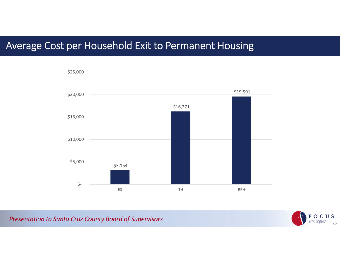#### Average Cost per Household Exit to Permanent Housing



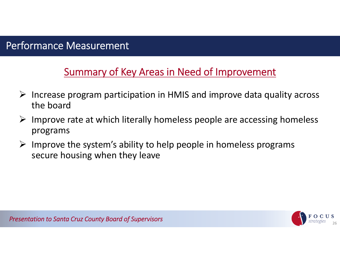### Summary of Key Areas in Need of Improvement

- $\triangleright$  Increase program participation in HMIS and improve data quality across the board
- $\triangleright$  Improve rate at which literally homeless people are accessing homeless programs
- $\triangleright$  Improve the system's ability to help people in homeless programs secure housing when they leave

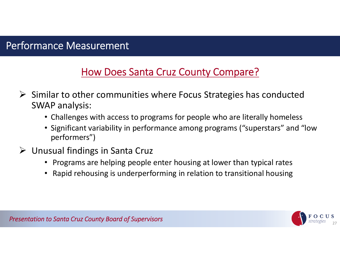### How Does Santa Cruz County Compare?

- $\triangleright$  Similar to other communities where Focus Strategies has conducted SWAP analysis:
	- Challenges with access to programs for people who are literally homeless
	- Significant variability in performance among programs ("superstars" and "low performers")
- Unusual findings in Santa Cruz
	- Programs are helping people enter housing at lower than typical rates
	- Rapid rehousing is underperforming in relation to transitional housing

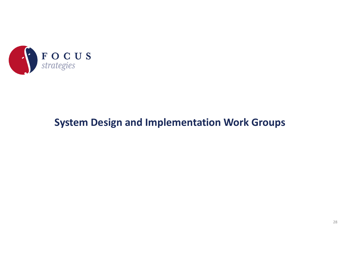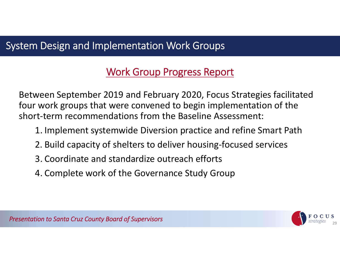### Work Group Progress Report

Between September 2019 and February 2020, Focus Strategies facilitated four work groups that were convened to begin implementation of the short‐term recommendations from the Baseline Assessment:

- 1. Implement systemwide Diversion practice and refine Smart Path
- 2. Build capacity of shelters to deliver housing‐focused services
- 3. Coordinate and standardize outreach efforts
- 4. Complete work of the Governance Study Group

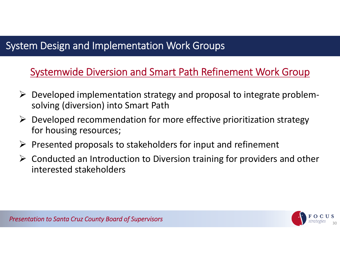### Systemwide Diversion and Smart Path Refinement Work Group

- Developed implementation strategy and proposal to integrate problem‐ solving (diversion) into Smart Path
- $\triangleright$  Developed recommendation for more effective prioritization strategy for housing resources;
- $\triangleright$  Presented proposals to stakeholders for input and refinement
- $\triangleright$  Conducted an Introduction to Diversion training for providers and other interested stakeholders

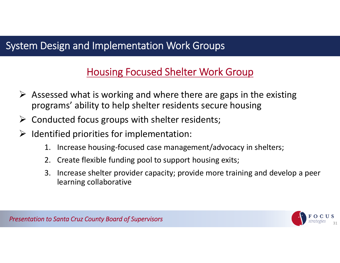### Housing Focused Shelter Work Group

- $\triangleright$  Assessed what is working and where there are gaps in the existing programs' ability to help shelter residents secure housing
- $\triangleright$  Conducted focus groups with shelter residents;
- $\blacktriangleright$  Identified priorities for implementation:
	- 1. Increase housing‐focused case management/advocacy in shelters;
	- 2. Create flexible funding pool to support housing exits;
	- 3. Increase shelter provider capacity; provide more training and develop <sup>a</sup> peer learning collaborative

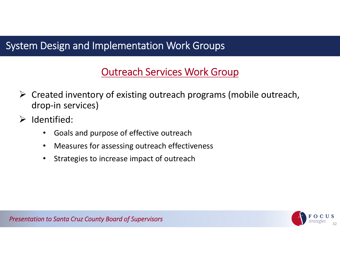### Outreach Services Work Group

- $\triangleright$  Created inventory of existing outreach programs (mobile outreach, drop‐in services)
- $\triangleright$  Identified:
	- $\bullet$ Goals and purpose of effective outreach
	- •Measures for assessing outreach effectiveness
	- $\bullet$ Strategies to increase impact of outreach

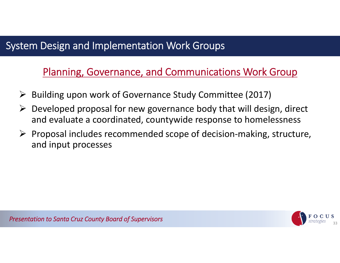### Planning, Governance, and Communications Work Group

- ▶ Building upon work of Governance Study Committee (2017)
- $\triangleright$  Developed proposal for new governance body that will design, direct and evaluate <sup>a</sup> coordinated, countywide response to homelessness
- Proposal includes recommended scope of decision‐making, structure, and input processes



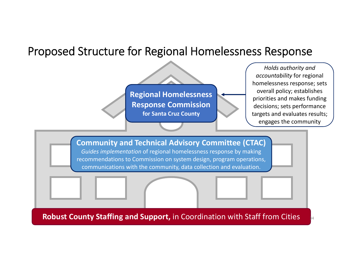### Proposed Structure for Regional Homelessness Response

**Regional Homelessness Response Commission for Santa Cruz County**

*Holds authority and accountability* for regional homelessness response; sets overall policy; establishes priorities and makes funding decisions; sets performance targets and evaluates results; engages the community

34

**Community and Technical Advisory Committee (CTAC)** *Guides implementation* of regional homelessness response by making recommendations to Commission on system design, program operations, communications with the community, data collection and evaluation.

**Robust County Staffing and Support,** in Coordination with Staff from Cities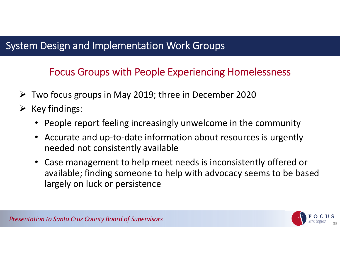### Focus Groups with People Experiencing Homelessness

- Two focus groups in May 2019; three in December 2020
- $\triangleright$  Key findings:
	- People report feeling increasingly unwelcome in the community
	- $\bullet$  Accurate and up‐to‐date information about resources is urgently needed not consistently available
	- Case management to help meet needs is inconsistently offered or available; finding someone to help with advocacy seems to be based largely on luck or persistence

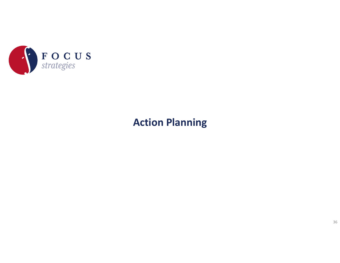

### **Action Planning**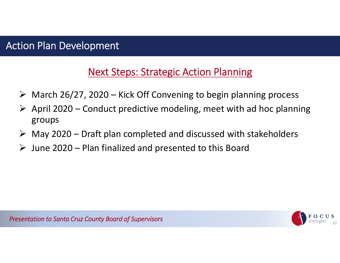#### Action Plan Development

#### Next Steps: Strategic Action Planning

- $\triangleright$  March 26/27, 2020 Kick Off Convening to begin planning process
- $\triangleright$  April 2020 Conduct predictive modeling, meet with ad hoc planning groups
- $\triangleright$  May 2020 Draft plan completed and discussed with stakeholders
- $\triangleright$  June 2020 Plan finalized and presented to this Board



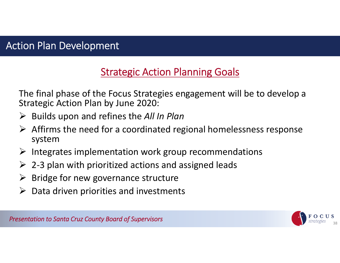### **Strategic Action Planning Goals**

The final phase of the Focus Strategies engagement will be to develop <sup>a</sup> Strategic Action Plan by June 2020:

- Builds upon and refines the *All In Plan*
- $\triangleright$  Affirms the need for a coordinated regional homelessness response system
- $\triangleright$  Integrates implementation work group recommendations
- $\triangleright$  2-3 plan with prioritized actions and assigned leads
- $\blacktriangleright$ Bridge for new governance structure
- $\triangleright$  Data driven priorities and investments

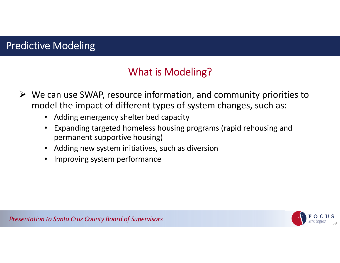### Predictive Modeling

### What is Modeling?

- $\triangleright$  We can use SWAP, resource information, and community priorities to model the impact of different types of system changes, such as:
	- Adding emergency shelter bed capacity
	- • Expanding targeted homeless housing programs (rapid rehousing and permanent supportive housing)
	- Adding new system initiatives, such as diversion
	- •Improving system performance

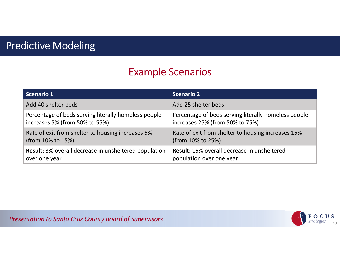### Predictive Modeling

### Example Scenarios

| <b>Scenario 1</b>                                            | <b>Scenario 2</b>                                    |
|--------------------------------------------------------------|------------------------------------------------------|
| Add 40 shelter beds                                          | Add 25 shelter beds                                  |
| Percentage of beds serving literally homeless people         | Percentage of beds serving literally homeless people |
| increases 5% (from 50% to 55%)                               | increases 25% (from 50% to 75%)                      |
| Rate of exit from shelter to housing increases 5%            | Rate of exit from shelter to housing increases 15%   |
| (from 10% to 15%)                                            | (from 10% to 25%)                                    |
| <b>Result:</b> 3% overall decrease in unsheltered population | Result: 15% overall decrease in unsheltered          |
| over one year                                                | population over one year                             |

**Presentation to Santa Cruz County Board of Supervisors** 40 and 200 and 200 and 30 and 30 and 40 and 40 and 40 and 40 and 40 and 40 and 40 and 40 and 40 and 40 and 40 and 40 and 40 and 40 and 40 and 40 and 40 and 40 and 40

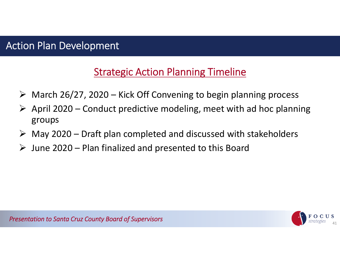#### Action Plan Development

### **Strategic Action Planning Timeline**

- $\triangleright$  March 26/27, 2020 Kick Off Convening to begin planning process
- $\triangleright$  April 2020 Conduct predictive modeling, meet with ad hoc planning groups
- $\triangleright$  May 2020 Draft plan completed and discussed with stakeholders
- $\triangleright$  June 2020 Plan finalized and presented to this Board